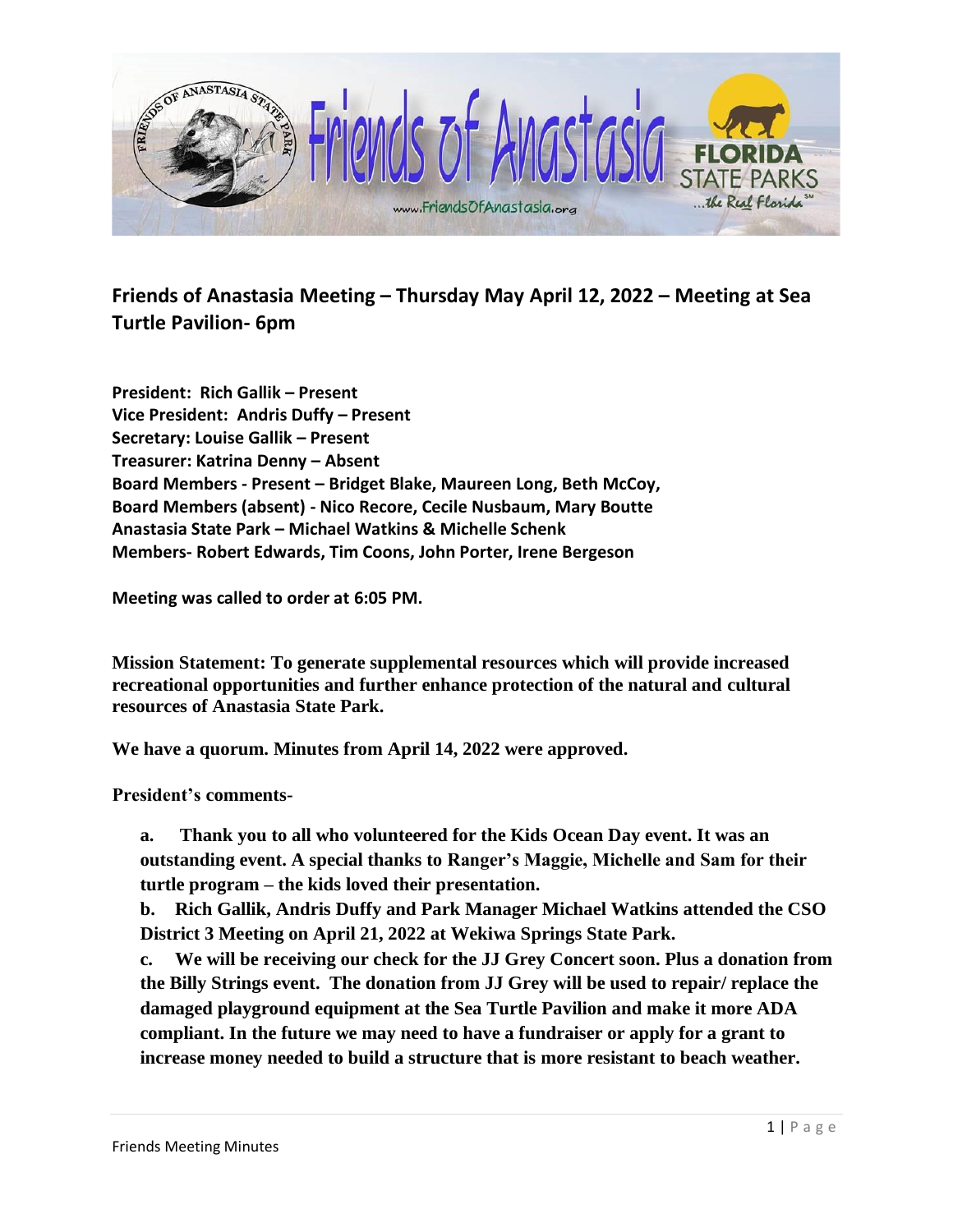

**Friends of Anastasia Meeting – Thursday May April 12, 2022 – Meeting at Sea Turtle Pavilion- 6pm**

**President: Rich Gallik – Present Vice President: Andris Duffy – Present Secretary: Louise Gallik – Present Treasurer: Katrina Denny – Absent Board Members - Present – Bridget Blake, Maureen Long, Beth McCoy, Board Members (absent) - Nico Recore, Cecile Nusbaum, Mary Boutte Anastasia State Park – Michael Watkins & Michelle Schenk Members- Robert Edwards, Tim Coons, John Porter, Irene Bergeson**

**Meeting was called to order at 6:05 PM.** 

**Mission Statement: To generate supplemental resources which will provide increased recreational opportunities and further enhance protection of the natural and cultural resources of Anastasia State Park.**

**We have a quorum. Minutes from April 14, 2022 were approved.** 

**President's comments-**

**a. Thank you to all who volunteered for the Kids Ocean Day event. It was an outstanding event. A special thanks to Ranger's Maggie, Michelle and Sam for their turtle program – the kids loved their presentation.**

**b. Rich Gallik, Andris Duffy and Park Manager Michael Watkins attended the CSO District 3 Meeting on April 21, 2022 at Wekiwa Springs State Park.** 

**c. We will be receiving our check for the JJ Grey Concert soon. Plus a donation from the Billy Strings event. The donation from JJ Grey will be used to repair/ replace the damaged playground equipment at the Sea Turtle Pavilion and make it more ADA compliant. In the future we may need to have a fundraiser or apply for a grant to increase money needed to build a structure that is more resistant to beach weather.**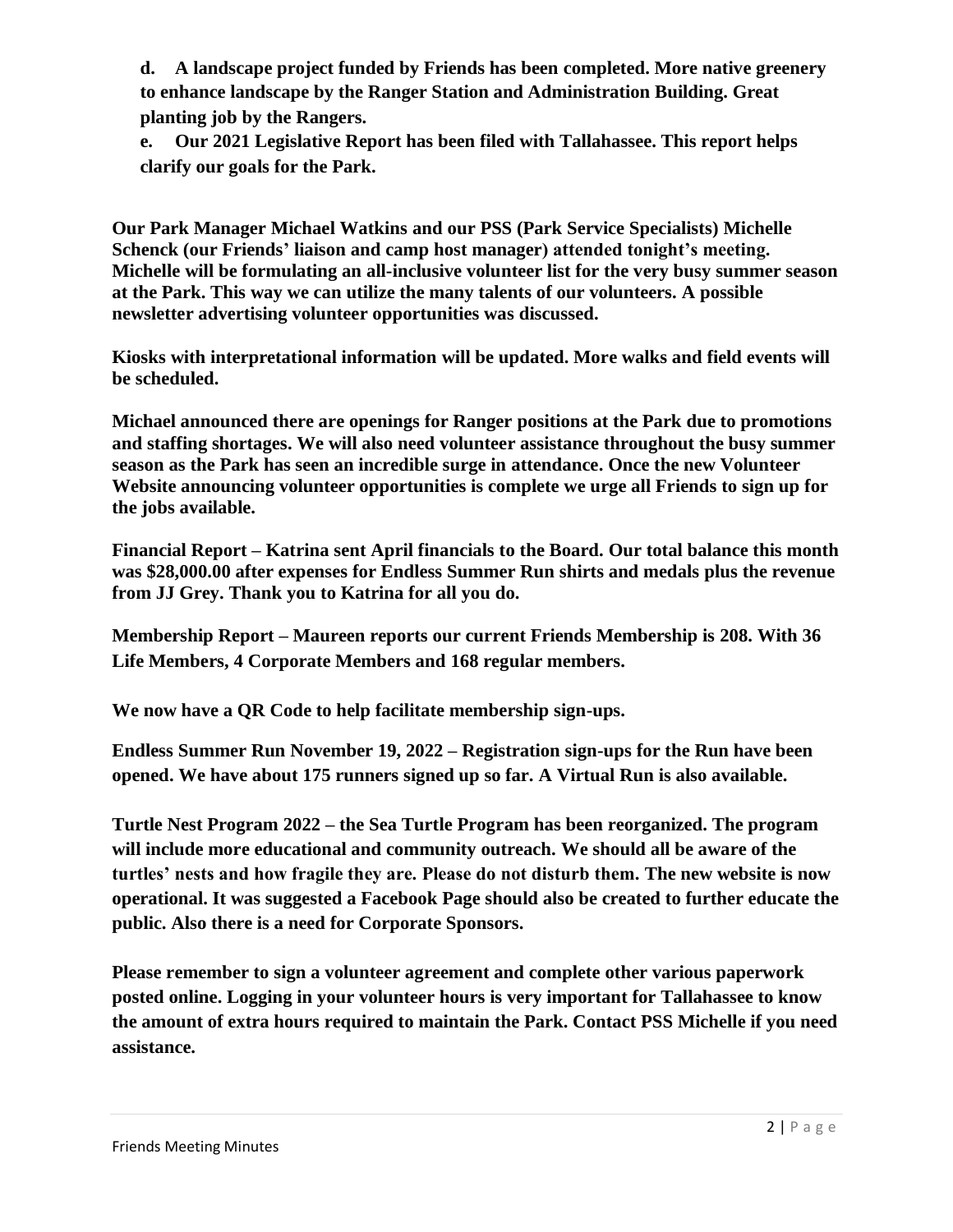**d. A landscape project funded by Friends has been completed. More native greenery to enhance landscape by the Ranger Station and Administration Building. Great planting job by the Rangers.**

**e. Our 2021 Legislative Report has been filed with Tallahassee. This report helps clarify our goals for the Park.**

**Our Park Manager Michael Watkins and our PSS (Park Service Specialists) Michelle Schenck (our Friends' liaison and camp host manager) attended tonight's meeting. Michelle will be formulating an all-inclusive volunteer list for the very busy summer season at the Park. This way we can utilize the many talents of our volunteers. A possible newsletter advertising volunteer opportunities was discussed.**

**Kiosks with interpretational information will be updated. More walks and field events will be scheduled.**

**Michael announced there are openings for Ranger positions at the Park due to promotions and staffing shortages. We will also need volunteer assistance throughout the busy summer season as the Park has seen an incredible surge in attendance. Once the new Volunteer Website announcing volunteer opportunities is complete we urge all Friends to sign up for the jobs available.**

**Financial Report – Katrina sent April financials to the Board. Our total balance this month was \$28,000.00 after expenses for Endless Summer Run shirts and medals plus the revenue from JJ Grey. Thank you to Katrina for all you do.**

**Membership Report – Maureen reports our current Friends Membership is 208. With 36 Life Members, 4 Corporate Members and 168 regular members.** 

**We now have a QR Code to help facilitate membership sign-ups.**

**Endless Summer Run November 19, 2022 – Registration sign-ups for the Run have been opened. We have about 175 runners signed up so far. A Virtual Run is also available.**

**Turtle Nest Program 2022 – the Sea Turtle Program has been reorganized. The program will include more educational and community outreach. We should all be aware of the turtles' nests and how fragile they are. Please do not disturb them. The new website is now operational. It was suggested a Facebook Page should also be created to further educate the public. Also there is a need for Corporate Sponsors.**

**Please remember to sign a volunteer agreement and complete other various paperwork posted online. Logging in your volunteer hours is very important for Tallahassee to know the amount of extra hours required to maintain the Park. Contact PSS Michelle if you need assistance.**